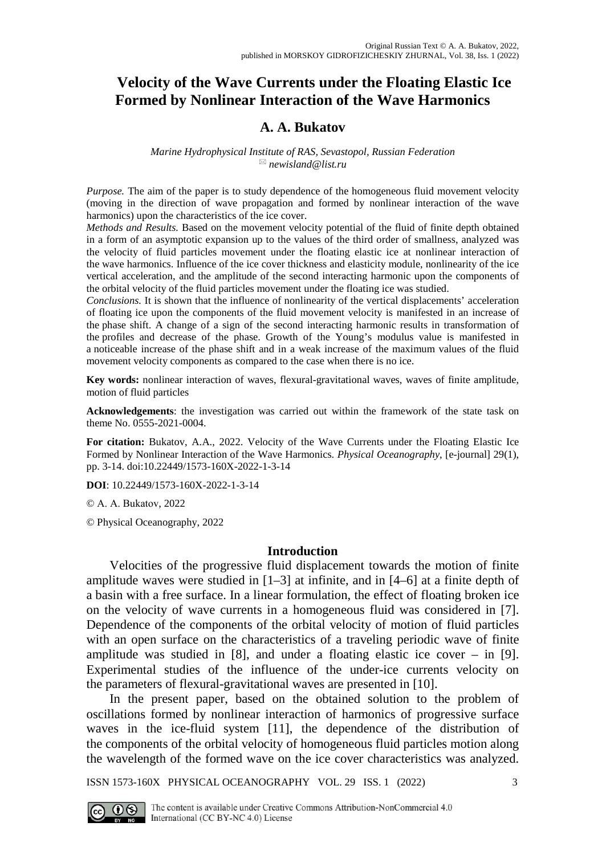# **Velocity of the Wave Currents under the Floating Elastic Ice Formed by Nonlinear Interaction of the Wave Harmonics**

## **A. A. Bukatov**

#### *Marine Hydrophysical Institute of RAS, Sevastopol, Russian Federation [newisland@list.ru](mailto:newisland@list.ru)*

*Purpose.* The aim of the paper is to study dependence of the homogeneous fluid movement velocity (moving in the direction of wave propagation and formed by nonlinear interaction of the wave harmonics) upon the characteristics of the ice cover.

*Methods and Results.* Based on the movement velocity potential of the fluid of finite depth obtained in a form of an asymptotic expansion up to the values of the third order of smallness, analyzed was the velocity of fluid particles movement under the floating elastic ice at nonlinear interaction of the wave harmonics. Influence of the ice cover thickness and elasticity module, nonlinearity of the ice vertical acceleration, and the amplitude of the second interacting harmonic upon the components of the orbital velocity of the fluid particles movement under the floating ice was studied.

*Conclusions.* It is shown that the influence of nonlinearity of the vertical displacements' acceleration of floating ice upon the components of the fluid movement velocity is manifested in an increase of the phase shift. A change of a sign of the second interacting harmonic results in transformation of the profiles and decrease of the phase. Growth of the Young's modulus value is manifested in a noticeable increase of the phase shift and in a weak increase of the maximum values of the fluid movement velocity components as compared to the case when there is no ice.

**Key words:** nonlinear interaction of waves, flexural-gravitational waves, waves of finite amplitude, motion of fluid particles

**Acknowledgements**: the investigation was carried out within the framework of the state task on theme No. 0555-2021-0004.

**For citation:** Bukatov, A.A., 2022. Velocity of the Wave Currents under the Floating Elastic Ice Formed by Nonlinear Interaction of the Wave Harmonics. *Physical Oceanography*, [e-journal] 29(1), pp. 3-14. doi:10.22449/1573-160X-2022-1-3-14

**DOI**: 10.22449/1573-160X-2022-1-3-14

© А. A. Bukatov, 2022

© Physical Oceanography, 2022

### **Introduction**

Velocities of the progressive fluid displacement towards the motion of finite amplitude waves were studied in [1–3] at infinite, and in [4–6] at a finite depth of a basin with a free surface. In a linear formulation, the effect of floating broken ice on the velocity of wave currents in a homogeneous fluid was considered in [7]. Dependence of the components of the orbital velocity of motion of fluid particles with an open surface on the characteristics of a traveling periodic wave of finite amplitude was studied in  $[8]$ , and under a floating elastic ice cover – in  $[9]$ . Experimental studies of the influence of the under-ice currents velocity on the parameters of flexural-gravitational waves are presented in [10].

In the present paper, based on the obtained solution to the problem of oscillations formed by nonlinear interaction of harmonics of progressive surface waves in the ice-fluid system [11], the dependence of the distribution of the components of the orbital velocity of homogeneous fluid particles motion along the wavelength of the formed wave on the ice cover characteristics was analyzed.

ISSN 1573-160X PHYSICAL OCEANOGRAPHY VOL. 29 ISS. 1 (2022) 3

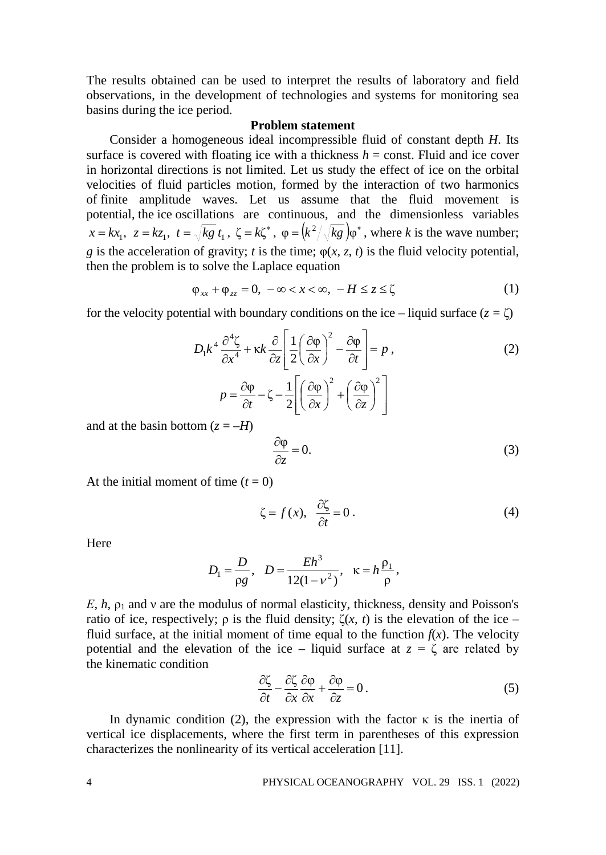The results obtained can be used to interpret the results of laboratory and field observations, in the development of technologies and systems for monitoring sea basins during the ice period.

#### **Problem statement**

Consider a homogeneous ideal incompressible fluid of constant depth *H*. Its surface is covered with floating ice with a thickness  $h =$  const. Fluid and ice cover in horizontal directions is not limited. Let us study the effect of ice on the orbital velocities of fluid particles motion, formed by the interaction of two harmonics of finite amplitude waves. Let us assume that the fluid movement is potential, the ice oscillations are continuous, and the dimensionless variables  $x = kx_1$ ,  $z = kz_1$ ,  $t = \sqrt{kg} t_1$ ,  $\zeta = k\zeta^*$ ,  $\varphi = (k^2/\sqrt{kg})\varphi^*$ , where *k* is the wave number; *g* is the acceleration of gravity; *t* is the time;  $\varphi(x, z, t)$  is the fluid velocity potential, then the problem is to solve the Laplace equation

$$
\varphi_{xx} + \varphi_{zz} = 0, \ -\infty < x < \infty, \ -H \leq z \leq \zeta \tag{1}
$$

for the velocity potential with boundary conditions on the ice – liquid surface  $(z = \zeta)$ 

$$
D_1 k^4 \frac{\partial^4 \zeta}{\partial x^4} + \kappa k \frac{\partial}{\partial z} \left[ \frac{1}{2} \left( \frac{\partial \varphi}{\partial x} \right)^2 - \frac{\partial \varphi}{\partial t} \right] = p, \qquad (2)
$$

$$
p = \frac{\partial \varphi}{\partial t} - \zeta - \frac{1}{2} \left[ \left( \frac{\partial \varphi}{\partial x} \right)^2 + \left( \frac{\partial \varphi}{\partial z} \right)^2 \right]
$$

and at the basin bottom  $(z = -H)$ 

$$
\frac{\partial \varphi}{\partial z} = 0.
$$
 (3)

At the initial moment of time  $(t = 0)$ 

$$
\zeta = f(x), \quad \frac{\partial \zeta}{\partial t} = 0 \,. \tag{4}
$$

Here

$$
D_1 = \frac{D}{\rho g}, \quad D = \frac{Eh^3}{12(1 - v^2)}, \quad \kappa = h \frac{\rho_1}{\rho},
$$

*E*, *h*, *ρ*<sub>1</sub> and *v* are the modulus of normal elasticity, thickness, density and Poisson's ratio of ice, respectively;  $ρ$  is the fluid density;  $ζ(x, t)$  is the elevation of the ice – fluid surface, at the initial moment of time equal to the function  $f(x)$ . The velocity potential and the elevation of the ice – liquid surface at  $z = \zeta$  are related by the kinematic condition

$$
\frac{\partial \zeta}{\partial t} - \frac{\partial \zeta}{\partial x} \frac{\partial \varphi}{\partial x} + \frac{\partial \varphi}{\partial z} = 0.
$$
 (5)

In dynamic condition (2), the expression with the factor  $\kappa$  is the inertia of vertical ice displacements, where the first term in parentheses of this expression characterizes the nonlinearity of its vertical acceleration [11].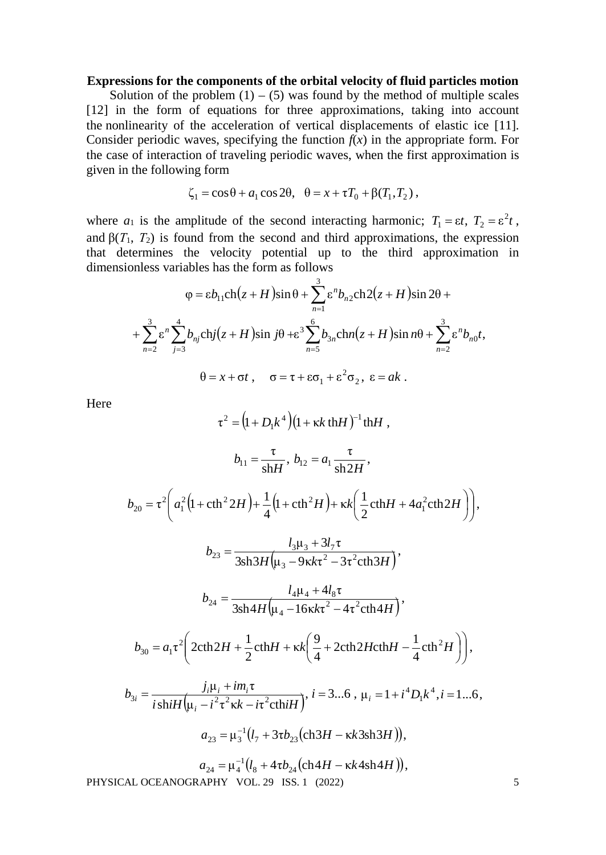## **Expressions for the components of the orbital velocity of fluid particles motion**

Solution of the problem  $(1) - (5)$  was found by the method of multiple scales [12] in the form of equations for three approximations, taking into account the nonlinearity of the acceleration of vertical displacements of elastic ice [11]. Consider periodic waves, specifying the function  $f(x)$  in the appropriate form. For the case of interaction of traveling periodic waves, when the first approximation is given in the following form

$$
\zeta_1 = \cos \theta + a_1 \cos 2\theta, \quad \theta = x + \tau T_0 + \beta (T_1, T_2),
$$

where  $a_1$  is the amplitude of the second interacting harmonic;  $T_1 = \varepsilon t$ ,  $T_2 = \varepsilon^2 t$ , and  $\beta(T_1, T_2)$  is found from the second and third approximations, the expression that determines the velocity potential up to the third approximation in dimensionless variables has the form as follows

$$
\varphi = \varepsilon b_{11} \text{ch} \left( z + H \right) \sin \theta + \sum_{n=1}^{3} \varepsilon^{n} b_{n2} \text{ch} 2 \left( z + H \right) \sin 2\theta +
$$

$$
+ \sum_{n=2}^{3} \varepsilon^{n} \sum_{j=3}^{4} b_{nj} \text{ch} j \left( z + H \right) \sin j\theta + \varepsilon^{3} \sum_{n=5}^{6} b_{3n} \text{ch} n \left( z + H \right) \sin n\theta + \sum_{n=2}^{3} \varepsilon^{n} b_{n0} t,
$$

$$
\theta = x + \sigma t \,, \quad \sigma = \tau + \varepsilon \sigma_{1} + \varepsilon^{2} \sigma_{2}, \ \varepsilon = ak \,.
$$

Here

$$
\tau^{2} = (1 + D_{1}k^{4})(1 + \kappa k \tanh^{-1} \tanh A,
$$
\n
$$
b_{11} = \frac{\tau}{\sin H}, \quad b_{12} = a_{1} \frac{\tau}{\sin 2H},
$$
\n
$$
b_{20} = \tau^{2} \bigg( a_{1}^{2} (1 + \coth^{2} 2H) + \frac{1}{4} (1 + \coth^{2} H) + \kappa k \bigg( \frac{1}{2} \coth H + 4a_{1}^{2} \coth 2H \bigg) \bigg),
$$
\n
$$
b_{23} = \frac{l_{3} \mu_{3} + 3l_{7} \tau}{3 \sin 3H (\mu_{3} - 9 \kappa k \tau^{2} - 3\tau^{2} \coth 3H)},
$$
\n
$$
b_{24} = \frac{l_{4} \mu_{4} + 4l_{8} \tau}{3 \sin 4H (\mu_{4} - 16 \kappa k \tau^{2} - 4\tau^{2} \coth 4H)},
$$
\n
$$
b_{30} = a_{1} \tau^{2} \bigg( 2 \coth 2H + \frac{1}{2} \coth H + \kappa k \bigg( \frac{9}{4} + 2 \coth 2H \coth H - \frac{1}{4} \coth^{2} H \bigg) \bigg),
$$
\n
$$
b_{3i} = \frac{j_{i} \mu_{i} + i m_{i} \tau}{i \sinh(\mu_{i} - i^{2} \tau^{2} \kappa k - i \tau^{2} \coth H)}, \quad i = 3...6, \quad \mu_{i} = 1 + i^{4} D_{i} k^{4}, i = 1...6,
$$
\n
$$
a_{23} = \mu_{3}^{-1} (l_{7} + 3 \tau b_{23} (\text{ch} 3H - \kappa k 3 \text{sh} 3H)),
$$
\n
$$
a_{24} = \mu_{4}^{-1} (l_{8} + 4 \tau b_{24} (\text{ch} 4H - \kappa k 4 \text{sh} 4H)),
$$
\nPHYSICAL OCEANOGRAPHY VOL. 29 ISS. 1 (2022)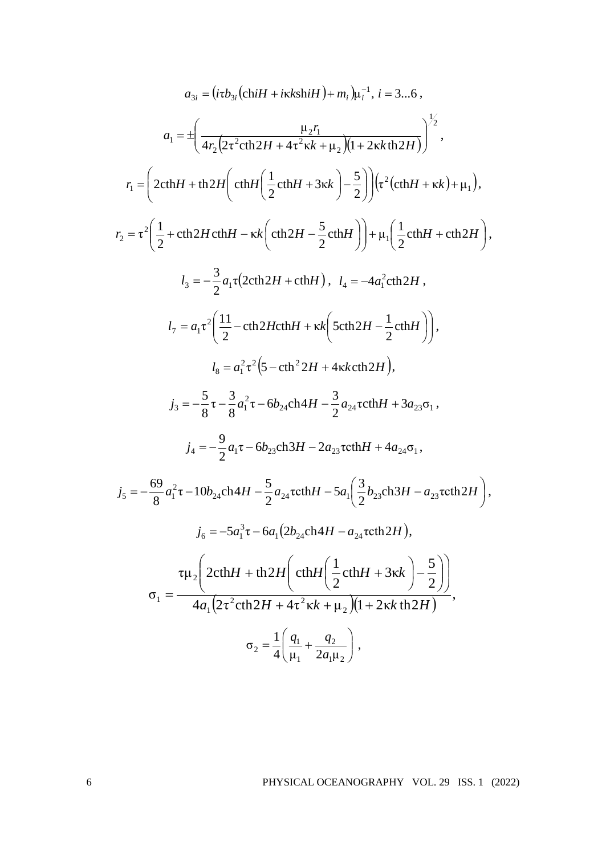$$
a_{3i} = (itb_{3i}(\text{ch}H + i\kappa\text{sh}H) + m_{i})\mu_{i}^{-1}, i = 3...6,
$$
  
\n
$$
a_{1} = \pm \left(\frac{\mu_{2}r_{1}}{4r_{2}(2\tau^{2}\text{ch}2H + 4\tau^{2}\kappa k + \mu_{2})(1 + 2\kappa k\text{th}2H)}\right)^{1/2},
$$
  
\n
$$
r_{1} = \left(2\text{ch}H + \text{th}2H\left(\text{ch}H\left(\frac{1}{2}\text{ch}H + 3\kappa k\right) - \frac{5}{2}\right)\right)\left(\tau^{2}(\text{ch}H + \kappa k) + \mu_{1}\right),
$$
  
\n
$$
r_{2} = \tau^{2}\left(\frac{1}{2} + \text{ch}2H\text{ch}H - \kappa k\left(\text{ch}2H - \frac{5}{2}\text{ch}H\right)\right) + \mu_{1}\left(\frac{1}{2}\text{ch}H + \text{ch}2H\right),
$$
  
\n
$$
l_{3} = -\frac{3}{2}a_{1}\tau(2\text{ch}2H + \text{ch}H), \quad l_{4} = -4a_{1}^{2}\text{ch}2H,
$$
  
\n
$$
l_{7} = a_{1}\tau^{2}\left(\frac{11}{2} - \text{ch}2H\text{ch}H + \kappa k\left(\text{Sch}2H - \frac{1}{2}\text{ch}H\right)\right),
$$
  
\n
$$
l_{8} = a_{1}^{2}\tau^{2}\left(\text{S} - \text{ch}^{2}2H + 4\kappa k\text{ch}2H\right),
$$
  
\n
$$
j_{3} = -\frac{5}{8}\tau - \frac{3}{8}a_{1}^{2}\tau - 6b_{24}\text{ch}4H - \frac{3}{2}a_{24}\text{coth}H + 3a_{23}\sigma_{1},
$$
  
\n
$$
j_{4} = -\frac{9}{2}a_{1}\tau - 6b_{23}\text{ch}3H - 2a_{23}\text{coth}H + 4a_{24}\sigma_{1},
$$
  
\n
$$
j_{5} = -\frac{69}{8}a_{1}^{2}\tau - 10b
$$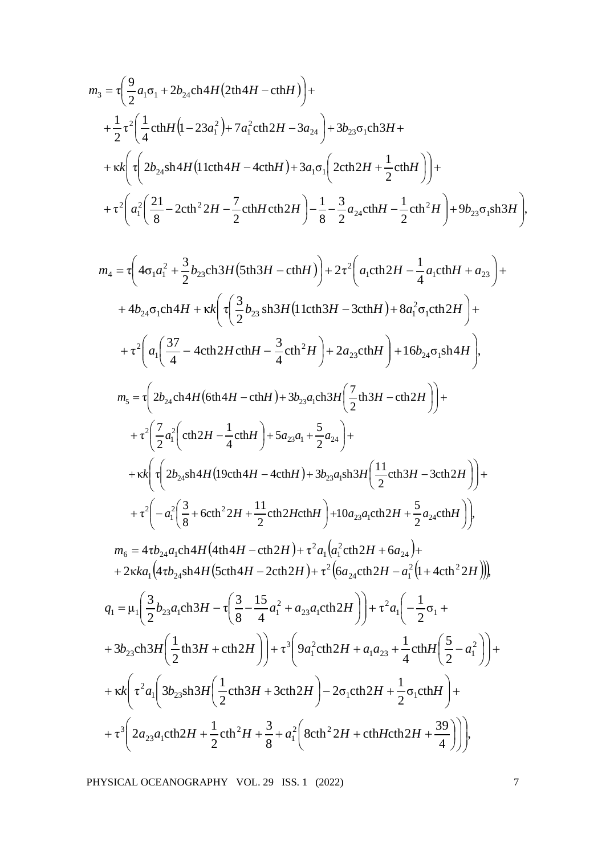$$
m_3 = \tau \left( \frac{9}{2} a_1 \sigma_1 + 2 b_{24} \text{ch}4H (2 \text{th}4H - \text{ch}H) \right) +
$$
  
+  $\frac{1}{2} \tau^2 \left( \frac{1}{4} \text{ch}H (1 - 23 a_1^2) + 7 a_1^2 \text{ch}2H - 3 a_{24} \right) + 3 b_{23} \sigma_1 \text{ch}3H +$   
+  $\kappa \kappa \left( \tau \left( 2 b_{24} \text{sh}4H (1 \text{lch}4H - 4 \text{ch}H) + 3 a_1 \sigma_1 \left( 2 \text{ch}2H + \frac{1}{2} \text{ch}H \right) \right) +$   
+  $\tau^2 \left( a_1^2 \left( \frac{21}{8} - 2 \text{ch}^2 2H - \frac{7}{2} \text{ch}H \text{ch}2H \right) - \frac{1}{8} - \frac{3}{2} a_{24} \text{ch}H - \frac{1}{2} \text{ch}^2 H \right) + 9 b_{23} \sigma_1 \text{sh}3H \right),$ 

$$
m_{4} = \tau \left( 4\sigma_{1}a_{1}^{2} + \frac{3}{2}b_{23}\text{ch}3H(5\text{th}3H - \text{ch}H) \right) + 2\tau^{2} \left( a_{1}\text{ch}2H - \frac{1}{4}a_{1}\text{ch}H + a_{23} \right) +
$$
  
+ 4b<sub>24</sub>σ<sub>1</sub>ch4H + \kappa k \left( \tau \left( \frac{3}{2}b\_{23}\text{ sh}3H(11\text{ch}3H - 3\text{ch}H) + 8a\_{1}^{2}\sigma\_{1}\text{ch}2H \right) +  
+  $\tau^{2} \left( a_{1} \left( \frac{37}{4} - 4\text{ch}2H\text{ch}H - \frac{3}{4}\text{ch}^{2}H \right) + 2a_{23}\text{ch}H \right) + 16b_{24}\sigma_{1}\text{sh}4H \right),$   

$$
m_{5} = \tau \left( 2b_{24}\text{ch}4H(6\text{th}4H - \text{ch}H) + 3b_{23}a_{1}\text{ch}3H\left( \frac{7}{2}\text{th}3H - \text{ch}2H \right) \right) +
$$
 $+ \tau^{2} \left( \frac{7}{2}a_{1}^{2} \left( \text{ch}2H - \frac{1}{4}\text{ch}H \right) + 5a_{23}a_{1} + \frac{5}{2}a_{24} \right) +$  $+ \kappa k \left( \tau \left( 2b_{24}\text{sh}4H(19\text{ch}4H - 4\text{ch}H) + 3b_{23}a_{1}\text{sh}3H\left( \frac{11}{2}\text{ch}3H - 3\text{ch}2H \right) \right) +$  $+ \tau^{2} \left( -a_{1}^{2} \left( \frac{3}{8} + \text{6}\text{ch}^{2}2H + \frac{11}{2}\text{ch}2H\text{ch}H \right) + 10a_{23}a_{1}\text{ch}2H + \frac{5}{2}a_{24}\text{ch}H \right) \right),$   

$$
m_{6} = 4\tau b_{24}a_{1}\text{ch}4H(4\text{th}4H - \text{
$$

$$
q_{1} = \mu_{1} \left( \frac{3}{2} b_{23} a_{1} \text{ch} 3H - \tau \left( \frac{3}{8} - \frac{15}{4} a_{1}^{2} + a_{23} a_{1} \text{ch} 2H \right) \right) + \tau^{2} a_{1} \left( -\frac{1}{2} \sigma_{1} +
$$
  
+  $3b_{23} \text{ch} 3H \left( \frac{1}{2} \text{th} 3H + \text{ch} 2H \right) \right) + \tau^{3} \left( 9a_{1}^{2} \text{ch} 2H + a_{1} a_{23} + \frac{1}{4} \text{ch} H \left( \frac{5}{2} - a_{1}^{2} \right) \right) +$   
+  $\kappa k \left( \tau^{2} a_{1} \left( 3b_{23} \text{sh} 3H \left( \frac{1}{2} \text{ch} 3H + 3 \text{ch} 2H \right) - 2\sigma_{1} \text{ch} 2H + \frac{1}{2} \sigma_{1} \text{ch} H \right) +$   
+  $\tau^{3} \left( 2a_{23} a_{1} \text{ch} 2H + \frac{1}{2} \text{ch}^{2} H + \frac{3}{8} + a_{1}^{2} \left( 8 \text{ch}^{2} 2H + \text{ch} H \text{ch} 2H + \frac{39}{4} \right) \right) \right),$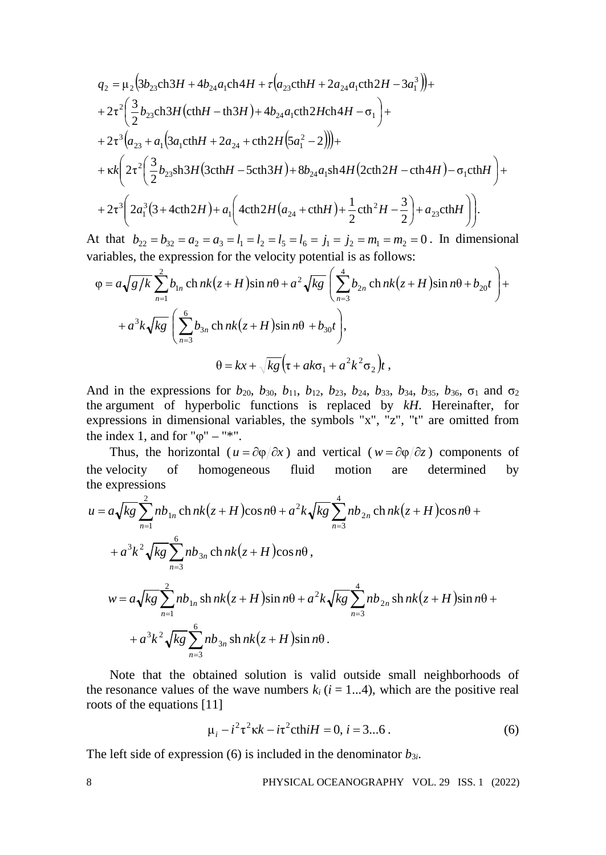$$
q_{2} = \mu_{2} (3b_{23}ch3H + 4b_{24}a_{1}ch4H + \tau (a_{23}ethH + 2a_{24}a_{1}ch2H - 3a_{1}^{3})) +
$$
  
+  $2\tau^{2} \left(\frac{3}{2}b_{23}ch3H\left(\text{ch}H - \text{th}3H\right) + 4b_{24}a_{1}ch2H\text{ch}4H - \sigma_{1}\right) +$   
+  $2\tau^{3} \left(a_{23} + a_{1}\left(3a_{1}chH + 2a_{24} + \text{ch}2H\left(5a_{1}^{2} - 2\right)\right)\right) +$   
+  $\kappa k \left(2\tau^{2} \left(\frac{3}{2}b_{23}sh3H\left(3chH - 5ch3H\right) + 8b_{24}a_{1}sh4H\left(2ch2H - \text{ch}4H\right) - \sigma_{1}chH\right) +$   
+  $2\tau^{3} \left(2a_{1}^{3}\left(3 + 4ch2H\right) + a_{1}\left(4ch2H\left(a_{24} + \text{ch}H\right) + \frac{1}{2}ch^{2}H - \frac{3}{2}\right) + a_{23}chH\right)\right).$ 

At that  $b_{22} = b_{32} = a_2 = a_3 = l_1 = l_2 = l_5 = l_6 = j_1 = j_2 = m_1 = m_2 = 0$ . In dimensional variables, the expression for the velocity potential is as follows:

$$
\varphi = a\sqrt{g/k} \sum_{n=1}^{2} b_{1n} \operatorname{ch} nk(z+H) \sin n\theta + a^2 \sqrt{kg} \left( \sum_{n=3}^{4} b_{2n} \operatorname{ch} nk(z+H) \sin n\theta + b_{20}t \right) ++ a^3 k \sqrt{kg} \left( \sum_{n=3}^{6} b_{3n} \operatorname{ch} nk(z+H) \sin n\theta + b_{30}t \right),
$$

$$
\theta = kx + \sqrt{kg} \left( \tau + ak\sigma_1 + a^2 k^2 \sigma_2 \right) t,
$$

And in the expressions for  $b_{20}$ ,  $b_{30}$ ,  $b_{11}$ ,  $b_{12}$ ,  $b_{23}$ ,  $b_{24}$ ,  $b_{33}$ ,  $b_{34}$ ,  $b_{35}$ ,  $b_{36}$ ,  $\sigma_1$  and  $\sigma_2$ the argument of hyperbolic functions is replaced by *kH*. Hereinafter, for expressions in dimensional variables, the symbols "x", "z", "t" are omitted from the index 1, and for " $\varphi$ " – "\*".

Thus, the horizontal ( $u = \frac{\partial \varphi}{\partial x}$ ) and vertical ( $w = \frac{\partial \varphi}{\partial z}$ ) components of the velocity of homogeneous fluid motion are determined by the expressions

$$
u = a\sqrt{kg} \sum_{n=1}^{2} nb_{1n} \operatorname{ch} nk(z+H) \cos n\theta + a^{2}k\sqrt{kg} \sum_{n=3}^{4} nb_{2n} \operatorname{ch} nk(z+H) \cos n\theta ++ a^{3}k^{2}\sqrt{kg} \sum_{n=3}^{6} nb_{3n} \operatorname{ch} nk(z+H) \cos n\theta ,w = a\sqrt{kg} \sum_{n=1}^{2} nb_{1n} \operatorname{sh} nk(z+H) \sin n\theta + a^{2}k\sqrt{kg} \sum_{n=3}^{4} nb_{2n} \operatorname{sh} nk(z+H) \sin n\theta ++ a^{3}k^{2}\sqrt{kg} \sum_{n=3}^{6} nb_{3n} \operatorname{sh} nk(z+H) \sin n\theta .
$$

Note that the obtained solution is valid outside small neighborhoods of the resonance values of the wave numbers  $k_i$  ( $i = 1...4$ ), which are the positive real roots of the equations [11]

$$
\mu_i - i^2 \tau^2 \kappa k - i \tau^2 \text{cthi} H = 0, \, i = 3...6 \,. \tag{6}
$$

The left side of expression (6) is included in the denominator  $b_{3i}$ .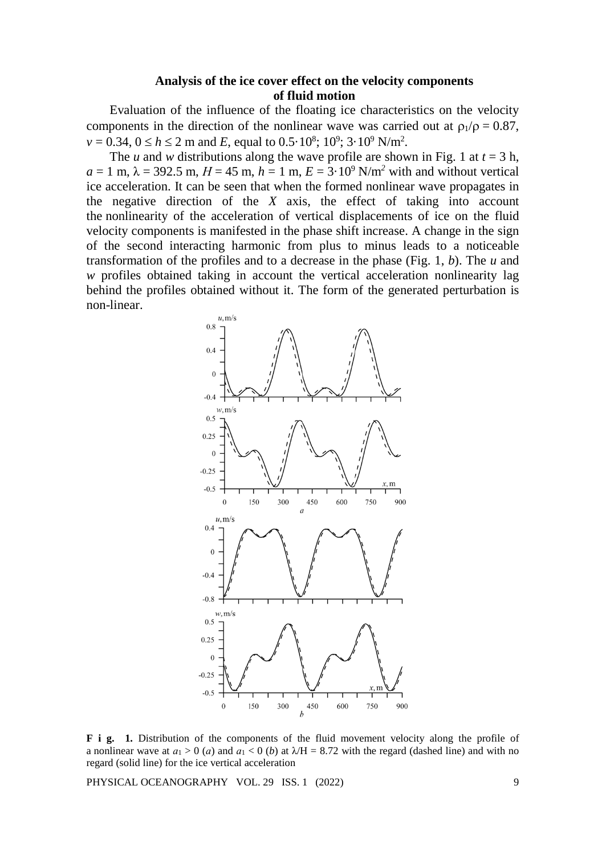## **Analysis of the ice cover effect on the velocity components of fluid motion**

Evaluation of the influence of the floating ice characteristics on the velocity components in the direction of the nonlinear wave was carried out at  $\rho_1/\rho = 0.87$ ,  $v = 0.34, 0 \le h \le 2 \text{ m}$  and *E*, equal to  $0.5 \cdot 10^8$ ;  $10^9$ ;  $3 \cdot 10^9$  N/m<sup>2</sup>.

The *u* and *w* distributions along the wave profile are shown in Fig. 1 at  $t = 3$  h,  $a = 1$  m,  $\lambda = 392.5$  m,  $H = 45$  m,  $h = 1$  m,  $E = 3.10^9$  N/m<sup>2</sup> with and without vertical ice acceleration. It can be seen that when the formed nonlinear wave propagates in the negative direction of the *X* axis, the effect of taking into account the nonlinearity of the acceleration of vertical displacements of ice on the fluid velocity components is manifested in the phase shift increase. A change in the sign of the second interacting harmonic from plus to minus leads to a noticeable transformation of the profiles and to a decrease in the phase (Fig. 1, *b*). The *u* and *w* profiles obtained taking in account the vertical acceleration nonlinearity lag behind the profiles obtained without it. The form of the generated perturbation is non-linear.



**F i g. 1.** Distribution of the components of the fluid movement velocity along the profile of a nonlinear wave at  $a_1 > 0$  (*a*) and  $a_1 < 0$  (*b*) at  $\lambda$ H = 8.72 with the regard (dashed line) and with no regard (solid line) for the ice vertical acceleration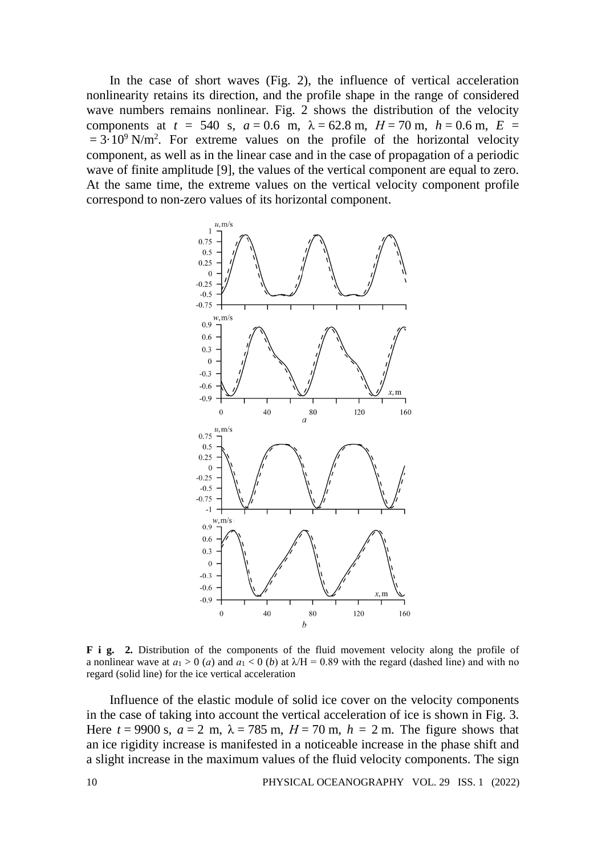In the case of short waves (Fig. 2), the influence of vertical acceleration nonlinearity retains its direction, and the profile shape in the range of considered wave numbers remains nonlinear. Fig. 2 shows the distribution of the velocity components at  $t = 540$  s,  $a = 0.6$  m,  $\lambda = 62.8$  m,  $H = 70$  m,  $h = 0.6$  m,  $E =$  $= 3.10^9$  N/m<sup>2</sup>. For extreme values on the profile of the horizontal velocity component, as well as in the linear case and in the case of propagation of a periodic wave of finite amplitude [9], the values of the vertical component are equal to zero. At the same time, the extreme values on the vertical velocity component profile correspond to non-zero values of its horizontal component.



**F i g. 2.** Distribution of the components of the fluid movement velocity along the profile of a nonlinear wave at  $a_1 > 0$  (*a*) and  $a_1 < 0$  (*b*) at  $\lambda/H = 0.89$  with the regard (dashed line) and with no regard (solid line) for the ice vertical acceleration

Influence of the elastic module of solid ice cover on the velocity components in the case of taking into account the vertical acceleration of ice is shown in Fig. 3. Here  $t = 9900$  s,  $a = 2$  m,  $\lambda = 785$  m,  $H = 70$  m,  $h = 2$  m. The figure shows that an ice rigidity increase is manifested in a noticeable increase in the phase shift and a slight increase in the maximum values of the fluid velocity components. The sign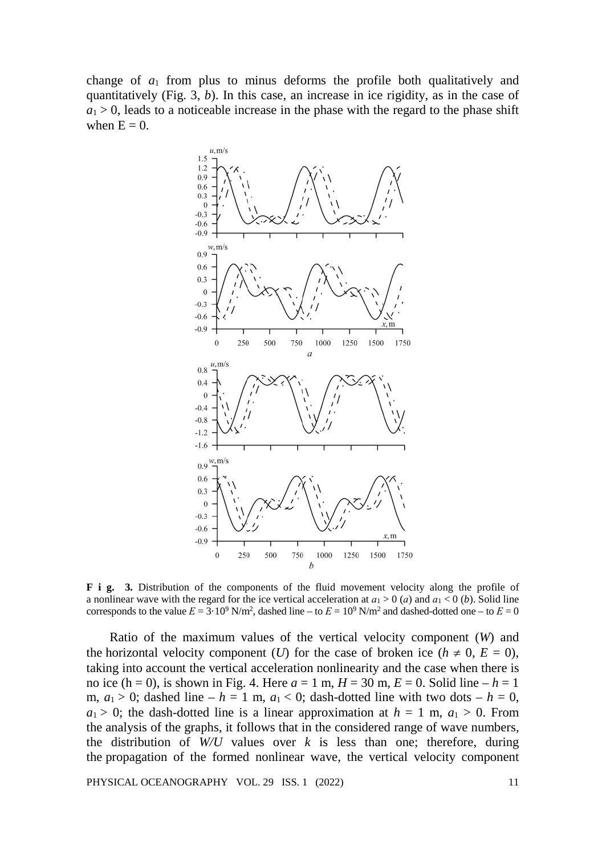change of  $a_1$  from plus to minus deforms the profile both qualitatively and quantitatively (Fig. 3, *b*). In this case, an increase in ice rigidity, as in the case of  $a_1 > 0$ , leads to a noticeable increase in the phase with the regard to the phase shift when  $E = 0$ .



**F i g. 3.** Distribution of the components of the fluid movement velocity along the profile of a nonlinear wave with the regard for the ice vertical acceleration at  $a_1 > 0$  (*a*) and  $a_1 < 0$  (*b*). Solid line corresponds to the value  $E = 3 \cdot 10^9$  N/m<sup>2</sup>, dashed line – to  $E = 10^9$  N/m<sup>2</sup> and dashed-dotted one – to  $E = 0$ 

Ratio of the maximum values of the vertical velocity component (*W*) and the horizontal velocity component (*U*) for the case of broken ice ( $h \neq 0, E = 0$ ), taking into account the vertical acceleration nonlinearity and the case when there is no ice  $(h = 0)$ , is shown in Fig. 4. Here  $a = 1$  m,  $H = 30$  m,  $E = 0$ . Solid line  $-h = 1$ m,  $a_1 > 0$ ; dashed line –  $h = 1$  m,  $a_1 < 0$ ; dash-dotted line with two dots –  $h = 0$ ,  $a_1 > 0$ ; the dash-dotted line is a linear approximation at  $h = 1$  m,  $a_1 > 0$ . From the analysis of the graphs, it follows that in the considered range of wave numbers, the distribution of  $W/U$  values over  $k$  is less than one; therefore, during the propagation of the formed nonlinear wave, the vertical velocity component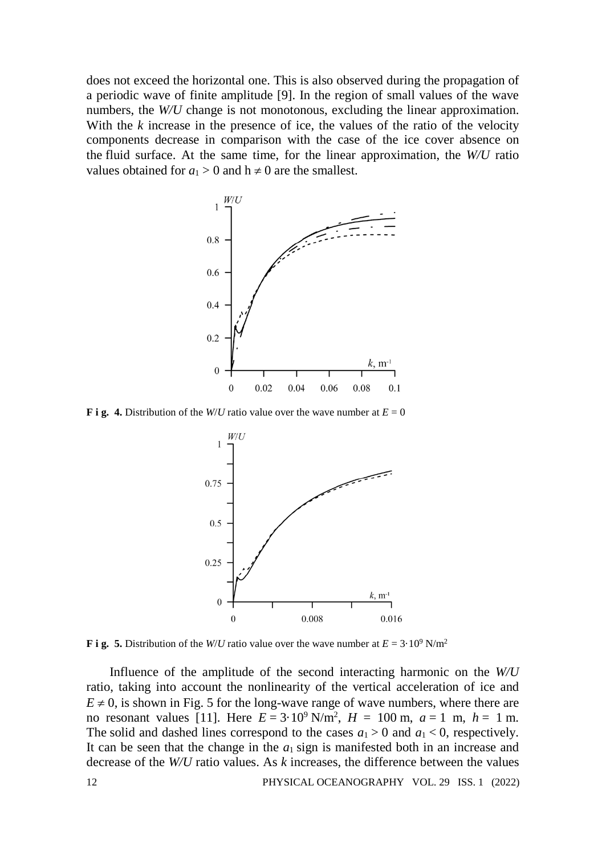does not exceed the horizontal one. This is also observed during the propagation of a periodic wave of finite amplitude [9]. In the region of small values of the wave numbers, the *W/U* change is not monotonous, excluding the linear approximation. With the *k* increase in the presence of ice, the values of the ratio of the velocity components decrease in comparison with the case of the ice cover absence on the fluid surface. At the same time, for the linear approximation, the *W/U* ratio values obtained for  $a_1 > 0$  and  $h \neq 0$  are the smallest.



**F** i g. 4. Distribution of the *W/U* ratio value over the wave number at  $E = 0$ 



**F i g. 5.** Distribution of the *W/U* ratio value over the wave number at  $E = 3.10^9$  N/m<sup>2</sup>

Influence of the amplitude of the second interacting harmonic on the *W/U*  ratio, taking into account the nonlinearity of the vertical acceleration of ice and  $E \neq 0$ , is shown in Fig. 5 for the long-wave range of wave numbers, where there are no resonant values [11]. Here  $E = 3.10^9$  N/m<sup>2</sup>,  $H = 100$  m,  $a = 1$  m,  $h = 1$  m. The solid and dashed lines correspond to the cases  $a_1 > 0$  and  $a_1 < 0$ , respectively. It can be seen that the change in the  $a_1$  sign is manifested both in an increase and decrease of the *W/U* ratio values. As *k* increases, the difference between the values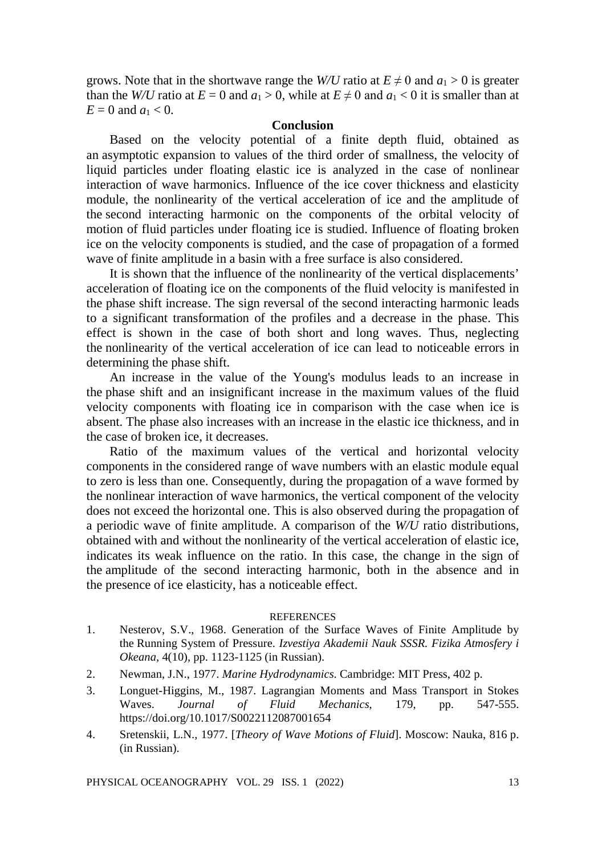grows. Note that in the shortwave range the *W/U* ratio at  $E \neq 0$  and  $a_1 > 0$  is greater than the *W/U* ratio at  $E = 0$  and  $a_1 > 0$ , while at  $E \neq 0$  and  $a_1 < 0$  it is smaller than at  $E = 0$  and  $a_1 < 0$ .

#### **Conclusion**

Based on the velocity potential of a finite depth fluid, obtained as an asymptotic expansion to values of the third order of smallness, the velocity of liquid particles under floating elastic ice is analyzed in the case of nonlinear interaction of wave harmonics. Influence of the ice cover thickness and elasticity module, the nonlinearity of the vertical acceleration of ice and the amplitude of the second interacting harmonic on the components of the orbital velocity of motion of fluid particles under floating ice is studied. Influence of floating broken ice on the velocity components is studied, and the case of propagation of a formed wave of finite amplitude in a basin with a free surface is also considered.

It is shown that the influence of the nonlinearity of the vertical displacements' acceleration of floating ice on the components of the fluid velocity is manifested in the phase shift increase. The sign reversal of the second interacting harmonic leads to a significant transformation of the profiles and a decrease in the phase. This effect is shown in the case of both short and long waves. Thus, neglecting the nonlinearity of the vertical acceleration of ice can lead to noticeable errors in determining the phase shift.

An increase in the value of the Young's modulus leads to an increase in the phase shift and an insignificant increase in the maximum values of the fluid velocity components with floating ice in comparison with the case when ice is absent. The phase also increases with an increase in the elastic ice thickness, and in the case of broken ice, it decreases.

Ratio of the maximum values of the vertical and horizontal velocity components in the considered range of wave numbers with an elastic module equal to zero is less than one. Consequently, during the propagation of a wave formed by the nonlinear interaction of wave harmonics, the vertical component of the velocity does not exceed the horizontal one. This is also observed during the propagation of a periodic wave of finite amplitude. A comparison of the *W/U* ratio distributions, obtained with and without the nonlinearity of the vertical acceleration of elastic ice, indicates its weak influence on the ratio. In this case, the change in the sign of the amplitude of the second interacting harmonic, both in the absence and in the presence of ice elasticity, has a noticeable effect.

#### **REFERENCES**

- 1. Nesterov, S.V., 1968. Generation of the Surface Waves of Finite Amplitude by the Running System of Pressure. *Izvestiya Akademii Nauk SSSR. Fizika Atmosfery i Okeana*, 4(10), pp. 1123-1125 (in Russian).
- 2. Newman, J.N., 1977. *Marine Hydrodynamics*. Cambridge: MIT Press, 402 p.
- 3. Longuet-Higgins, M., 1987. Lagrangian Moments and Mass Transport in Stokes Waves. *Journal of Fluid Mechanics*, 179, pp. 547-555. https://doi.org/10.1017/S0022112087001654
- 4. Sretenskii, L.N., 1977. [*Theory of Wave Motions of Fluid*]. Moscow: Nauka, 816 p. (in Russian).